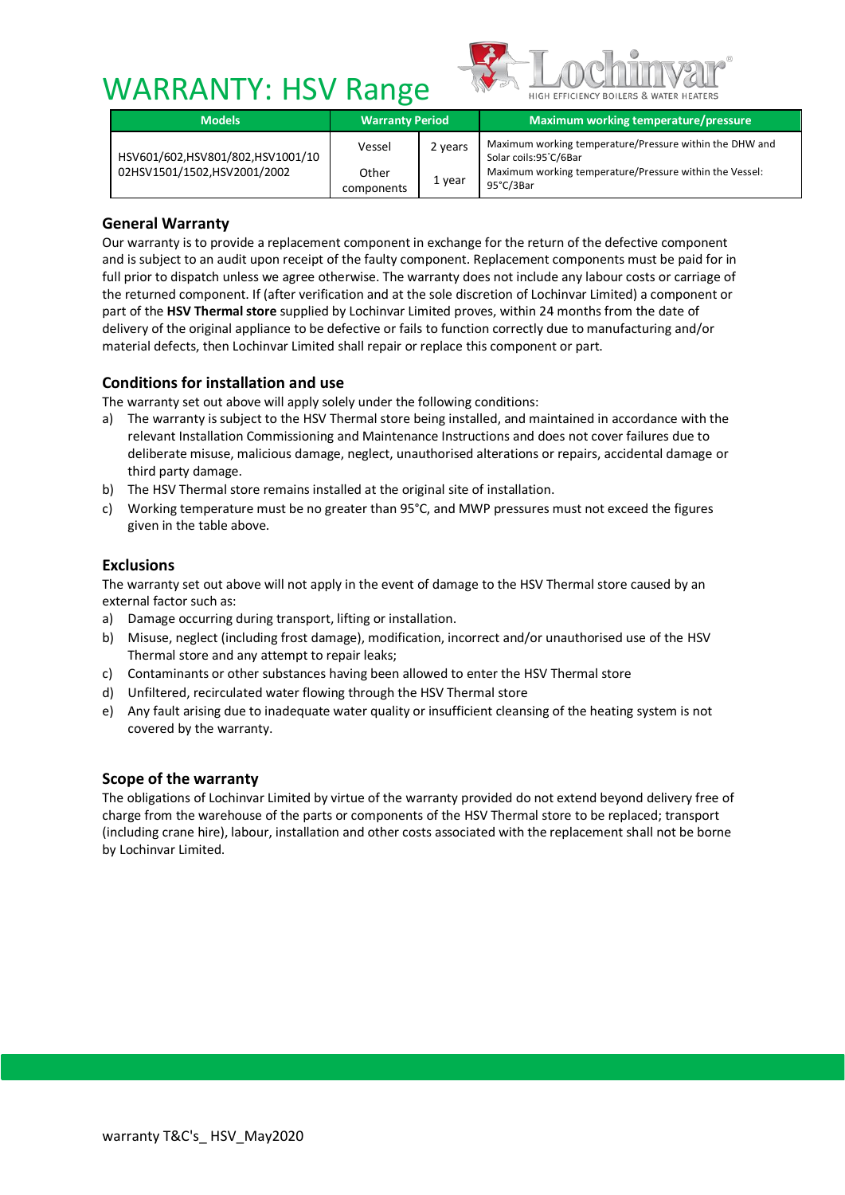# WARRANTY: HSV Range



| <b>Models</b>                                                   | <b>Warranty Period</b> |         | Maximum working temperature/pressure                                                                                                                     |  |
|-----------------------------------------------------------------|------------------------|---------|----------------------------------------------------------------------------------------------------------------------------------------------------------|--|
| HSV601/602,HSV801/802,HSV1001/10<br>02HSV1501/1502,HSV2001/2002 | Vessel                 | 2 years | Maximum working temperature/Pressure within the DHW and<br>Solar coils:95°C/6Bar<br>Maximum working temperature/Pressure within the Vessel:<br>95°C/3Bar |  |
|                                                                 | Other<br>components    | 1 year  |                                                                                                                                                          |  |

# **General Warranty**

Our warranty is to provide a replacement component in exchange for the return of the defective component and is subject to an audit upon receipt of the faulty component. Replacement components must be paid for in full prior to dispatch unless we agree otherwise. The warranty does not include any labour costs or carriage of the returned component. If (after verification and at the sole discretion of Lochinvar Limited) a component or part of the **HSV Thermal store** supplied by Lochinvar Limited proves, within 24 months from the date of delivery of the original appliance to be defective or fails to function correctly due to manufacturing and/or material defects, then Lochinvar Limited shall repair or replace this component or part.

## **Conditions for installation and use**

The warranty set out above will apply solely under the following conditions:

- a) The warranty is subject to the HSV Thermal store being installed, and maintained in accordance with the relevant Installation Commissioning and Maintenance Instructions and does not cover failures due to deliberate misuse, malicious damage, neglect, unauthorised alterations or repairs, accidental damage or third party damage.
- b) The HSV Thermal store remains installed at the original site of installation.
- c) Working temperature must be no greater than 95°C, and MWP pressures must not exceed the figures given in the table above.

#### **Exclusions**

The warranty set out above will not apply in the event of damage to the HSV Thermal store caused by an external factor such as:

- a) Damage occurring during transport, lifting or installation.
- b) Misuse, neglect (including frost damage), modification, incorrect and/or unauthorised use of the HSV Thermal store and any attempt to repair leaks;
- c) Contaminants or other substances having been allowed to enter the HSV Thermal store
- d) Unfiltered, recirculated water flowing through the HSV Thermal store
- e) Any fault arising due to inadequate water quality or insufficient cleansing of the heating system is not covered by the warranty.

#### **Scope of the warranty**

The obligations of Lochinvar Limited by virtue of the warranty provided do not extend beyond delivery free of charge from the warehouse of the parts or components of the HSV Thermal store to be replaced; transport (including crane hire), labour, installation and other costs associated with the replacement shall not be borne by Lochinvar Limited.